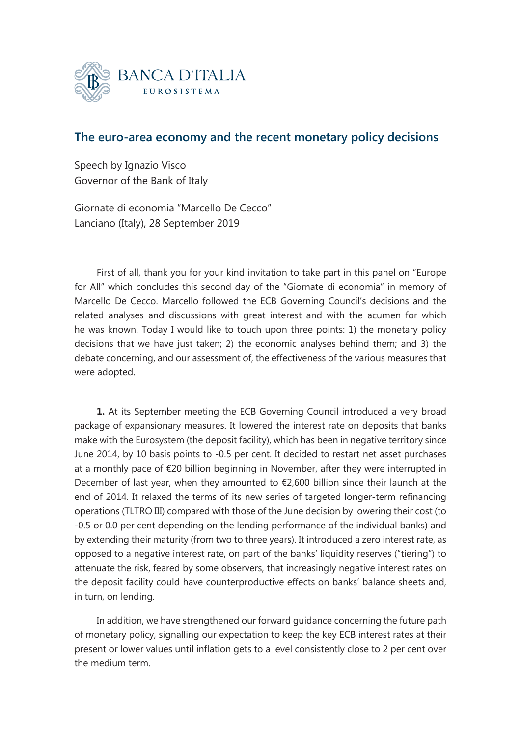

## **The euro-area economy and the recent monetary policy decisions**

Speech by Ignazio Visco Governor of the Bank of Italy

Giornate di economia "Marcello De Cecco" Lanciano (Italy), 28 September 2019

First of all, thank you for your kind invitation to take part in this panel on "Europe for All" which concludes this second day of the "Giornate di economia" in memory of Marcello De Cecco. Marcello followed the ECB Governing Council's decisions and the related analyses and discussions with great interest and with the acumen for which he was known. Today I would like to touch upon three points: 1) the monetary policy decisions that we have just taken; 2) the economic analyses behind them; and 3) the debate concerning, and our assessment of, the effectiveness of the various measures that were adopted.

**1.** At its September meeting the ECB Governing Council introduced a very broad package of expansionary measures. It lowered the interest rate on deposits that banks make with the Eurosystem (the deposit facility), which has been in negative territory since June 2014, by 10 basis points to -0.5 per cent. It decided to restart net asset purchases at a monthly pace of €20 billion beginning in November, after they were interrupted in December of last year, when they amounted to  $\epsilon$ 2,600 billion since their launch at the end of 2014. It relaxed the terms of its new series of targeted longer-term refinancing operations (TLTRO III) compared with those of the June decision by lowering their cost (to -0.5 or 0.0 per cent depending on the lending performance of the individual banks) and by extending their maturity (from two to three years). It introduced a zero interest rate, as opposed to a negative interest rate, on part of the banks' liquidity reserves ("tiering") to attenuate the risk, feared by some observers, that increasingly negative interest rates on the deposit facility could have counterproductive effects on banks' balance sheets and, in turn, on lending.

In addition, we have strengthened our forward guidance concerning the future path of monetary policy, signalling our expectation to keep the key ECB interest rates at their present or lower values until inflation gets to a level consistently close to 2 per cent over the medium term.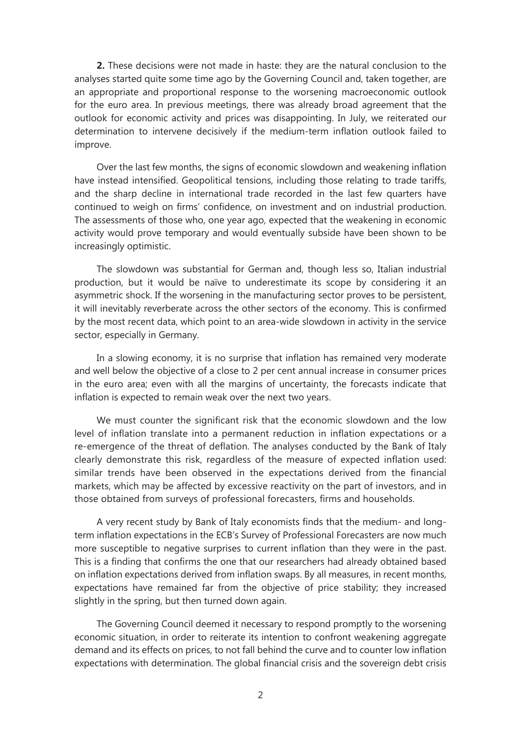**2.** These decisions were not made in haste: they are the natural conclusion to the analyses started quite some time ago by the Governing Council and, taken together, are an appropriate and proportional response to the worsening macroeconomic outlook for the euro area. In previous meetings, there was already broad agreement that the outlook for economic activity and prices was disappointing. In July, we reiterated our determination to intervene decisively if the medium-term inflation outlook failed to improve.

Over the last few months, the signs of economic slowdown and weakening inflation have instead intensified. Geopolitical tensions, including those relating to trade tariffs, and the sharp decline in international trade recorded in the last few quarters have continued to weigh on firms' confidence, on investment and on industrial production. The assessments of those who, one year ago, expected that the weakening in economic activity would prove temporary and would eventually subside have been shown to be increasingly optimistic.

The slowdown was substantial for German and, though less so, Italian industrial production, but it would be naïve to underestimate its scope by considering it an asymmetric shock. If the worsening in the manufacturing sector proves to be persistent, it will inevitably reverberate across the other sectors of the economy. This is confirmed by the most recent data, which point to an area-wide slowdown in activity in the service sector, especially in Germany.

In a slowing economy, it is no surprise that inflation has remained very moderate and well below the objective of a close to 2 per cent annual increase in consumer prices in the euro area; even with all the margins of uncertainty, the forecasts indicate that inflation is expected to remain weak over the next two years.

We must counter the significant risk that the economic slowdown and the low level of inflation translate into a permanent reduction in inflation expectations or a re-emergence of the threat of deflation. The analyses conducted by the Bank of Italy clearly demonstrate this risk, regardless of the measure of expected inflation used: similar trends have been observed in the expectations derived from the financial markets, which may be affected by excessive reactivity on the part of investors, and in those obtained from surveys of professional forecasters, firms and households.

A very recent study by Bank of Italy economists finds that the medium- and longterm inflation expectations in the ECB's Survey of Professional Forecasters are now much more susceptible to negative surprises to current inflation than they were in the past. This is a finding that confirms the one that our researchers had already obtained based on inflation expectations derived from inflation swaps. By all measures, in recent months, expectations have remained far from the objective of price stability; they increased slightly in the spring, but then turned down again.

The Governing Council deemed it necessary to respond promptly to the worsening economic situation, in order to reiterate its intention to confront weakening aggregate demand and its effects on prices, to not fall behind the curve and to counter low inflation expectations with determination. The global financial crisis and the sovereign debt crisis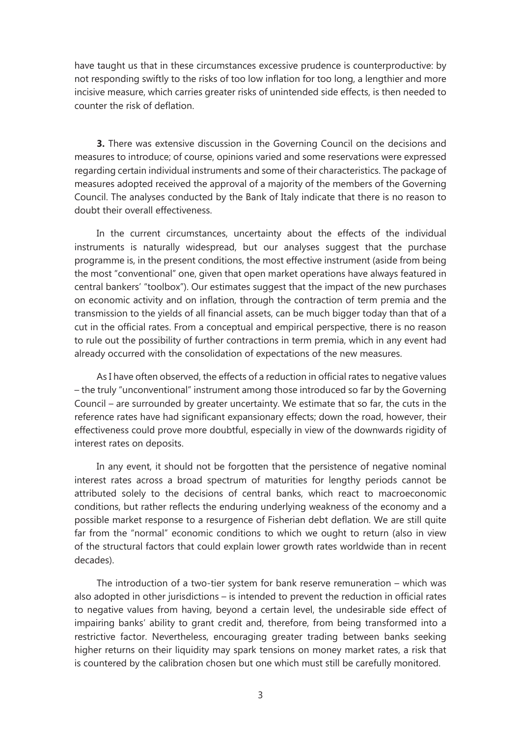have taught us that in these circumstances excessive prudence is counterproductive: by not responding swiftly to the risks of too low inflation for too long, a lengthier and more incisive measure, which carries greater risks of unintended side effects, is then needed to counter the risk of deflation.

**3.** There was extensive discussion in the Governing Council on the decisions and measures to introduce; of course, opinions varied and some reservations were expressed regarding certain individual instruments and some of their characteristics. The package of measures adopted received the approval of a majority of the members of the Governing Council. The analyses conducted by the Bank of Italy indicate that there is no reason to doubt their overall effectiveness.

In the current circumstances, uncertainty about the effects of the individual instruments is naturally widespread, but our analyses suggest that the purchase programme is, in the present conditions, the most effective instrument (aside from being the most "conventional" one, given that open market operations have always featured in central bankers' "toolbox"). Our estimates suggest that the impact of the new purchases on economic activity and on inflation, through the contraction of term premia and the transmission to the yields of all financial assets, can be much bigger today than that of a cut in the official rates. From a conceptual and empirical perspective, there is no reason to rule out the possibility of further contractions in term premia, which in any event had already occurred with the consolidation of expectations of the new measures.

As I have often observed, the effects of a reduction in official rates to negative values – the truly "unconventional" instrument among those introduced so far by the Governing Council – are surrounded by greater uncertainty. We estimate that so far, the cuts in the reference rates have had significant expansionary effects; down the road, however, their effectiveness could prove more doubtful, especially in view of the downwards rigidity of interest rates on deposits.

In any event, it should not be forgotten that the persistence of negative nominal interest rates across a broad spectrum of maturities for lengthy periods cannot be attributed solely to the decisions of central banks, which react to macroeconomic conditions, but rather reflects the enduring underlying weakness of the economy and a possible market response to a resurgence of Fisherian debt deflation. We are still quite far from the "normal" economic conditions to which we ought to return (also in view of the structural factors that could explain lower growth rates worldwide than in recent decades).

The introduction of a two-tier system for bank reserve remuneration – which was also adopted in other jurisdictions – is intended to prevent the reduction in official rates to negative values from having, beyond a certain level, the undesirable side effect of impairing banks' ability to grant credit and, therefore, from being transformed into a restrictive factor. Nevertheless, encouraging greater trading between banks seeking higher returns on their liquidity may spark tensions on money market rates, a risk that is countered by the calibration chosen but one which must still be carefully monitored.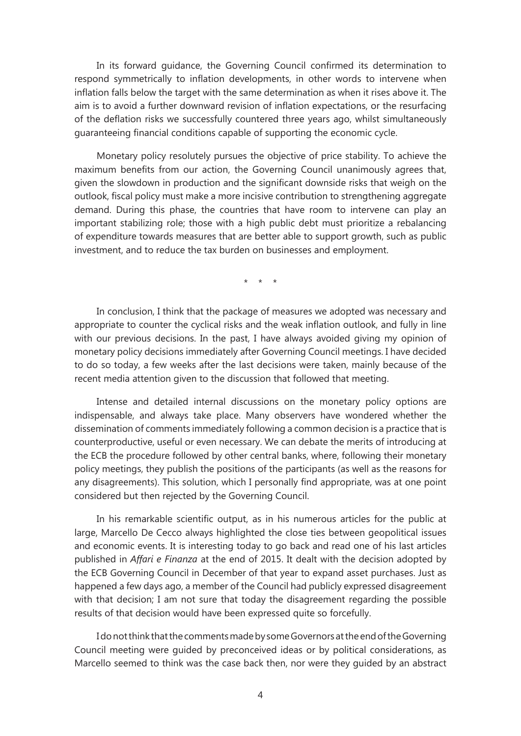In its forward guidance, the Governing Council confirmed its determination to respond symmetrically to inflation developments, in other words to intervene when inflation falls below the target with the same determination as when it rises above it. The aim is to avoid a further downward revision of inflation expectations, or the resurfacing of the deflation risks we successfully countered three years ago, whilst simultaneously guaranteeing financial conditions capable of supporting the economic cycle.

Monetary policy resolutely pursues the objective of price stability. To achieve the maximum benefits from our action, the Governing Council unanimously agrees that, given the slowdown in production and the significant downside risks that weigh on the outlook, fiscal policy must make a more incisive contribution to strengthening aggregate demand. During this phase, the countries that have room to intervene can play an important stabilizing role; those with a high public debt must prioritize a rebalancing of expenditure towards measures that are better able to support growth, such as public investment, and to reduce the tax burden on businesses and employment.

\* \* \*

In conclusion, I think that the package of measures we adopted was necessary and appropriate to counter the cyclical risks and the weak inflation outlook, and fully in line with our previous decisions. In the past, I have always avoided giving my opinion of monetary policy decisions immediately after Governing Council meetings. I have decided to do so today, a few weeks after the last decisions were taken, mainly because of the recent media attention given to the discussion that followed that meeting.

Intense and detailed internal discussions on the monetary policy options are indispensable, and always take place. Many observers have wondered whether the dissemination of comments immediately following a common decision is a practice that is counterproductive, useful or even necessary. We can debate the merits of introducing at the ECB the procedure followed by other central banks, where, following their monetary policy meetings, they publish the positions of the participants (as well as the reasons for any disagreements). This solution, which I personally find appropriate, was at one point considered but then rejected by the Governing Council.

In his remarkable scientific output, as in his numerous articles for the public at large, Marcello De Cecco always highlighted the close ties between geopolitical issues and economic events. It is interesting today to go back and read one of his last articles published in *Affari e Finanza* at the end of 2015. It dealt with the decision adopted by the ECB Governing Council in December of that year to expand asset purchases. Just as happened a few days ago, a member of the Council had publicly expressed disagreement with that decision; I am not sure that today the disagreement regarding the possible results of that decision would have been expressed quite so forcefully.

I do not think that the comments made by some Governors at the end of the Governing Council meeting were guided by preconceived ideas or by political considerations, as Marcello seemed to think was the case back then, nor were they guided by an abstract